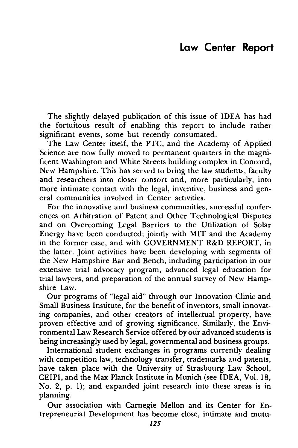## Law Center Report

The slightly delayed publication of this issue of IDEA has had the fortuitous result of enabling this report to include rather significant events, some but recently consumated.

The Law Center itself, the PTC, and the Academy of Applied Science are now fully moved to permanent quarters in the magnificent Washington and White Streets building complex in Concord, New Hampshire. This has served to bring the law students, faculty and researchers into closer consort and, more particularly, into more intimate contact with the legal, inventive, business and general communities involved in Center activities.

For the innovative and business communities, successful conferences on Arbitration of Patent and Other Technological Disputes and on Overcoming Legal Barriers to the Utilization of Solar Energy have been conducted; jointly with MIT and the Academy in the former case, and with GOVERNMENT R&D REPORT, in the latter. Joint activities have been developing with segments of the New Hampshire Bar and Bench, including participation in our extensive trial advocacy program, advanced legal education for trial lawyers, and preparation of the annual survey of New Hampshire Law.

Our programs of "legal aid" through our Innovation Clinic and Small Business Institute, for the benefit of inventors, small innovating companies, and other creators of intellectual property, have proven effective and of growing significance. Similarly, the Environmental Law Research Service offered by our advanced students is being increasingly used by legal, governmental and business groups.

International student exchanges in programs currently dealing with competition law, technology transfer, trademarks and patents, have taken place with the University of Strasbourg Law School, CEIPI, and the Max Planck Institute in Munich (see IDEA, Vol. 18, No. 2, p. 1); and expanded joint research into these areas is in planning.

Our association with Carnegie Mellon and its Center for Entrepreneurial Development has become close, intimate and mutu